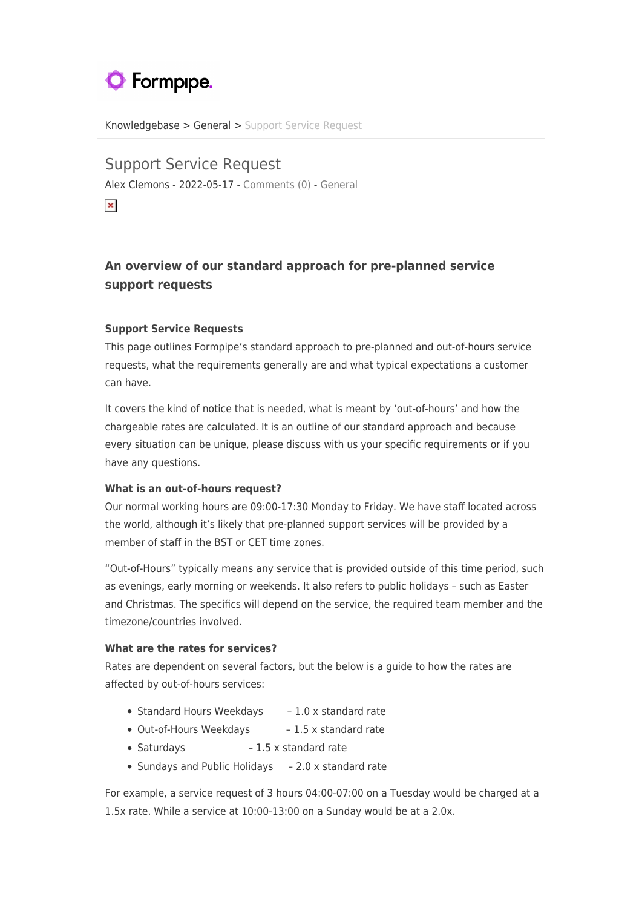# **O** Formpipe.

[Knowledgebase](https://support.formpipe.com/kb) > [General](https://support.formpipe.com/kb/general) > [Support Service Request](https://support.formpipe.com/kb/articles/support-service-request)

Support Service Request Alex Clemons - 2022-05-17 - [Comments \(0\)](#page--1-0) - [General](https://support.formpipe.com/kb/general)

 $\pmb{\times}$ 

# **An overview of our standard approach for pre-planned service support requests**

## **Support Service Requests**

This page outlines Formpipe's standard approach to pre-planned and out-of-hours service requests, what the requirements generally are and what typical expectations a customer can have.

It covers the kind of notice that is needed, what is meant by 'out-of-hours' and how the chargeable rates are calculated. It is an outline of our standard approach and because every situation can be unique, please discuss with us your specific requirements or if you have any questions.

## **What is an out-of-hours request?**

Our normal working hours are 09:00-17:30 Monday to Friday. We have staff located across the world, although it's likely that pre-planned support services will be provided by a member of staff in the BST or CET time zones.

"Out-of-Hours" typically means any service that is provided outside of this time period, such as evenings, early morning or weekends. It also refers to public holidays – such as Easter and Christmas. The specifics will depend on the service, the required team member and the timezone/countries involved.

## **What are the rates for services?**

Rates are dependent on several factors, but the below is a guide to how the rates are affected by out-of-hours services:

- Standard Hours Weekdays 1.0 x standard rate
- Out-of-Hours Weekdays 1.5 x standard rate
- Saturdays 1.5 x standard rate
- Sundays and Public Holidays 2.0 x standard rate

For example, a service request of 3 hours 04:00-07:00 on a Tuesday would be charged at a 1.5x rate. While a service at 10:00-13:00 on a Sunday would be at a 2.0x.